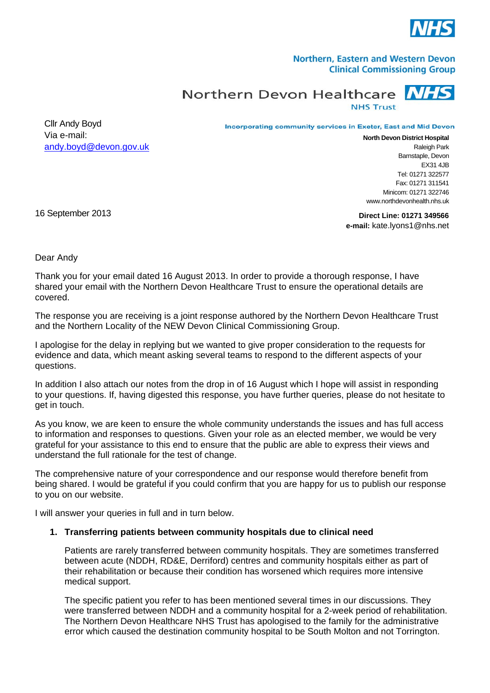

### Northern, Eastern and Western Devon **Clinical Commissioning Group**

Northern Devon Healthcare

**NHS Trust** 

Cllr Andy Boyd Via e-mail: [andy.boyd@devon.gov.uk](mailto:andy.boyd@devon.gov.uk)

Incorporating community services in Exeter, East and Mid Devon

**North Devon District Hospital** Raleigh Park Barnstaple, Devon  $FX31$  4JB Tel: 01271 322577 Fax: 01271 311541 Minicom: 01271 322746 www.northdevonhealth.nhs.uk

16 September 2013

**Direct Line: 01271 349566 e-mail:** kate.lyons1@nhs.net

Dear Andy

Thank you for your email dated 16 August 2013. In order to provide a thorough response, I have shared your email with the Northern Devon Healthcare Trust to ensure the operational details are covered.

The response you are receiving is a joint response authored by the Northern Devon Healthcare Trust and the Northern Locality of the NEW Devon Clinical Commissioning Group.

I apologise for the delay in replying but we wanted to give proper consideration to the requests for evidence and data, which meant asking several teams to respond to the different aspects of your questions.

In addition I also attach our notes from the drop in of 16 August which I hope will assist in responding to your questions. If, having digested this response, you have further queries, please do not hesitate to get in touch.

As you know, we are keen to ensure the whole community understands the issues and has full access to information and responses to questions. Given your role as an elected member, we would be very grateful for your assistance to this end to ensure that the public are able to express their views and understand the full rationale for the test of change.

The comprehensive nature of your correspondence and our response would therefore benefit from being shared. I would be grateful if you could confirm that you are happy for us to publish our response to you on our website.

I will answer your queries in full and in turn below.

## **1. Transferring patients between community hospitals due to clinical need**

Patients are rarely transferred between community hospitals. They are sometimes transferred between acute (NDDH, RD&E, Derriford) centres and community hospitals either as part of their rehabilitation or because their condition has worsened which requires more intensive medical support.

The specific patient you refer to has been mentioned several times in our discussions. They were transferred between NDDH and a community hospital for a 2-week period of rehabilitation. The Northern Devon Healthcare NHS Trust has apologised to the family for the administrative error which caused the destination community hospital to be South Molton and not Torrington.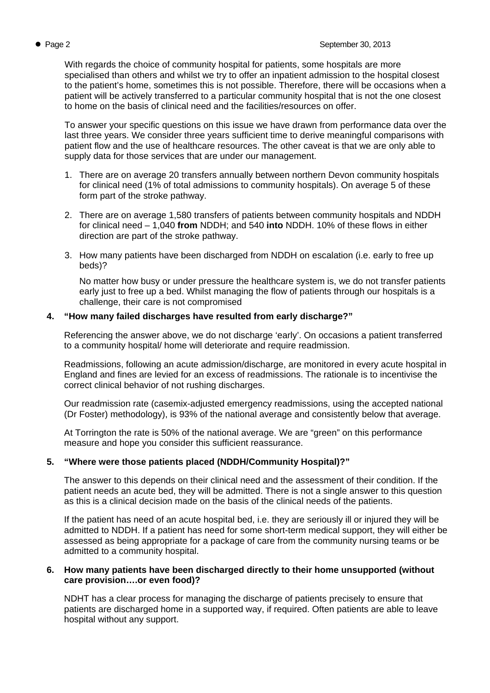With regards the choice of community hospital for patients, some hospitals are more specialised than others and whilst we try to offer an inpatient admission to the hospital closest to the patient's home, sometimes this is not possible. Therefore, there will be occasions when a patient will be actively transferred to a particular community hospital that is not the one closest to home on the basis of clinical need and the facilities/resources on offer.

To answer your specific questions on this issue we have drawn from performance data over the last three years. We consider three years sufficient time to derive meaningful comparisons with patient flow and the use of healthcare resources. The other caveat is that we are only able to supply data for those services that are under our management.

- 1. There are on average 20 transfers annually between northern Devon community hospitals for clinical need (1% of total admissions to community hospitals). On average 5 of these form part of the stroke pathway.
- 2. There are on average 1,580 transfers of patients between community hospitals and NDDH for clinical need – 1,040 **from** NDDH; and 540 **into** NDDH. 10% of these flows in either direction are part of the stroke pathway.
- 3. How many patients have been discharged from NDDH on escalation (i.e. early to free up beds)?

No matter how busy or under pressure the healthcare system is, we do not transfer patients early just to free up a bed. Whilst managing the flow of patients through our hospitals is a challenge, their care is not compromised

## **4. "How many failed discharges have resulted from early discharge?"**

Referencing the answer above, we do not discharge 'early'. On occasions a patient transferred to a community hospital/ home will deteriorate and require readmission.

Readmissions, following an acute admission/discharge, are monitored in every acute hospital in England and fines are levied for an excess of readmissions. The rationale is to incentivise the correct clinical behavior of not rushing discharges.

Our readmission rate (casemix-adjusted emergency readmissions, using the accepted national (Dr Foster) methodology), is 93% of the national average and consistently below that average.

At Torrington the rate is 50% of the national average. We are "green" on this performance measure and hope you consider this sufficient reassurance.

# **5. "Where were those patients placed (NDDH/Community Hospital)?"**

The answer to this depends on their clinical need and the assessment of their condition. If the patient needs an acute bed, they will be admitted. There is not a single answer to this question as this is a clinical decision made on the basis of the clinical needs of the patients.

If the patient has need of an acute hospital bed, i.e. they are seriously ill or injured they will be admitted to NDDH. If a patient has need for some short-term medical support, they will either be assessed as being appropriate for a package of care from the community nursing teams or be admitted to a community hospital.

## **6. How many patients have been discharged directly to their home unsupported (without care provision….or even food)?**

NDHT has a clear process for managing the discharge of patients precisely to ensure that patients are discharged home in a supported way, if required. Often patients are able to leave hospital without any support.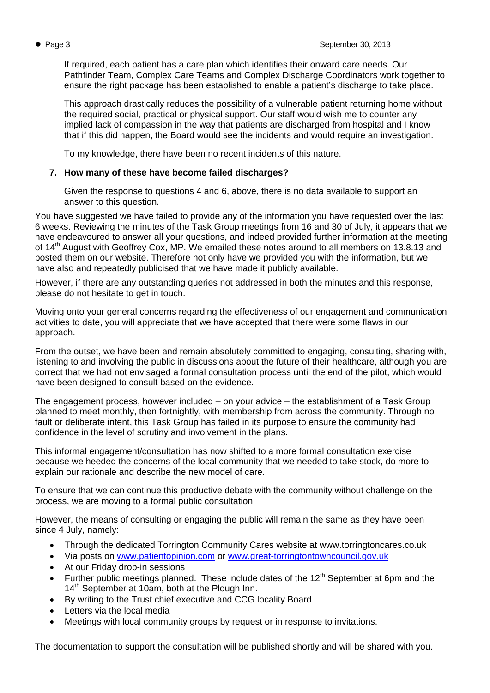If required, each patient has a care plan which identifies their onward care needs. Our Pathfinder Team, Complex Care Teams and Complex Discharge Coordinators work together to ensure the right package has been established to enable a patient's discharge to take place.

This approach drastically reduces the possibility of a vulnerable patient returning home without the required social, practical or physical support. Our staff would wish me to counter any implied lack of compassion in the way that patients are discharged from hospital and I know that if this did happen, the Board would see the incidents and would require an investigation.

To my knowledge, there have been no recent incidents of this nature.

## **7. How many of these have become failed discharges?**

Given the response to questions 4 and 6, above, there is no data available to support an answer to this question.

You have suggested we have failed to provide any of the information you have requested over the last 6 weeks. Reviewing the minutes of the Task Group meetings from 16 and 30 of July, it appears that we have endeavoured to answer all your questions, and indeed provided further information at the meeting of 14<sup>th</sup> August with Geoffrey Cox, MP. We emailed these notes around to all members on 13.8.13 and posted them on our website. Therefore not only have we provided you with the information, but we have also and repeatedly publicised that we have made it publicly available.

However, if there are any outstanding queries not addressed in both the minutes and this response, please do not hesitate to get in touch.

Moving onto your general concerns regarding the effectiveness of our engagement and communication activities to date, you will appreciate that we have accepted that there were some flaws in our approach.

From the outset, we have been and remain absolutely committed to engaging, consulting, sharing with, listening to and involving the public in discussions about the future of their healthcare, although you are correct that we had not envisaged a formal consultation process until the end of the pilot, which would have been designed to consult based on the evidence.

The engagement process, however included – on your advice – the establishment of a Task Group planned to meet monthly, then fortnightly, with membership from across the community. Through no fault or deliberate intent, this Task Group has failed in its purpose to ensure the community had confidence in the level of scrutiny and involvement in the plans.

This informal engagement/consultation has now shifted to a more formal consultation exercise because we heeded the concerns of the local community that we needed to take stock, do more to explain our rationale and describe the new model of care.

To ensure that we can continue this productive debate with the community without challenge on the process, we are moving to a formal public consultation.

However, the means of consulting or engaging the public will remain the same as they have been since 4 July, namely:

- Through the dedicated Torrington Community Cares website at www.torringtoncares.co.uk
- Via posts on [www.patientopinion.com](http://www.patientopinion.com/) or [www.great-torringtontowncouncil.gov.uk](http://www.great-torringtontowncouncil.gov.uk/)
- At our Friday drop-in sessions
- Further public meetings planned. These include dates of the  $12<sup>th</sup>$  September at 6pm and the  $14<sup>th</sup>$  September at 10am, both at the Plough Inn.
- By writing to the Trust chief executive and CCG locality Board
- Letters via the local media
- Meetings with local community groups by request or in response to invitations.

The documentation to support the consultation will be published shortly and will be shared with you.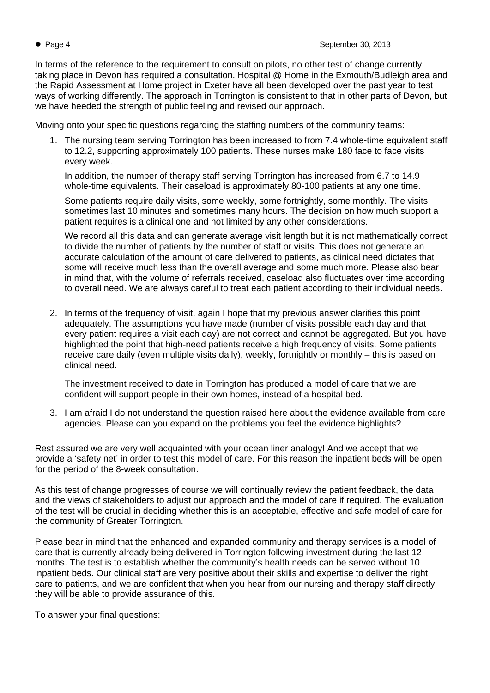In terms of the reference to the requirement to consult on pilots, no other test of change currently taking place in Devon has required a consultation. Hospital @ Home in the Exmouth/Budleigh area and the Rapid Assessment at Home project in Exeter have all been developed over the past year to test ways of working differently. The approach in Torrington is consistent to that in other parts of Devon, but we have heeded the strength of public feeling and revised our approach.

Moving onto your specific questions regarding the staffing numbers of the community teams:

1. The nursing team serving Torrington has been increased to from 7.4 whole-time equivalent staff to 12.2, supporting approximately 100 patients. These nurses make 180 face to face visits every week.

In addition, the number of therapy staff serving Torrington has increased from 6.7 to 14.9 whole-time equivalents. Their caseload is approximately 80-100 patients at any one time.

Some patients require daily visits, some weekly, some fortnightly, some monthly. The visits sometimes last 10 minutes and sometimes many hours. The decision on how much support a patient requires is a clinical one and not limited by any other considerations.

We record all this data and can generate average visit length but it is not mathematically correct to divide the number of patients by the number of staff or visits. This does not generate an accurate calculation of the amount of care delivered to patients, as clinical need dictates that some will receive much less than the overall average and some much more. Please also bear in mind that, with the volume of referrals received, caseload also fluctuates over time according to overall need. We are always careful to treat each patient according to their individual needs.

2. In terms of the frequency of visit, again I hope that my previous answer clarifies this point adequately. The assumptions you have made (number of visits possible each day and that every patient requires a visit each day) are not correct and cannot be aggregated. But you have highlighted the point that high-need patients receive a high frequency of visits. Some patients receive care daily (even multiple visits daily), weekly, fortnightly or monthly – this is based on clinical need.

The investment received to date in Torrington has produced a model of care that we are confident will support people in their own homes, instead of a hospital bed.

3. I am afraid I do not understand the question raised here about the evidence available from care agencies. Please can you expand on the problems you feel the evidence highlights?

Rest assured we are very well acquainted with your ocean liner analogy! And we accept that we provide a 'safety net' in order to test this model of care. For this reason the inpatient beds will be open for the period of the 8-week consultation.

As this test of change progresses of course we will continually review the patient feedback, the data and the views of stakeholders to adjust our approach and the model of care if required. The evaluation of the test will be crucial in deciding whether this is an acceptable, effective and safe model of care for the community of Greater Torrington.

Please bear in mind that the enhanced and expanded community and therapy services is a model of care that is currently already being delivered in Torrington following investment during the last 12 months. The test is to establish whether the community's health needs can be served without 10 inpatient beds. Our clinical staff are very positive about their skills and expertise to deliver the right care to patients, and we are confident that when you hear from our nursing and therapy staff directly they will be able to provide assurance of this.

To answer your final questions: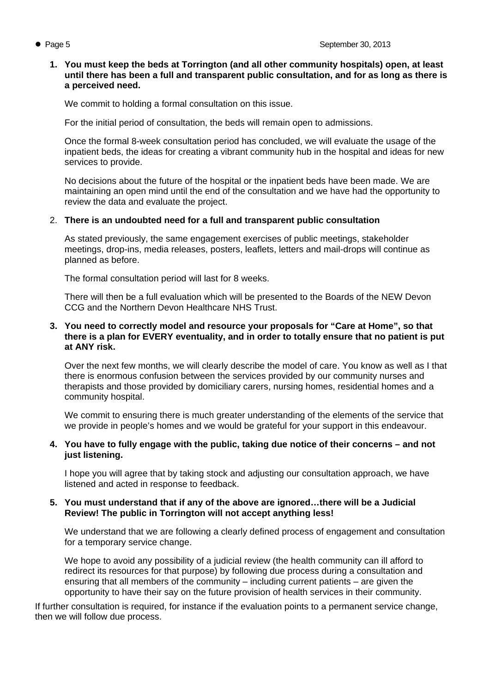### **1. You must keep the beds at Torrington (and all other community hospitals) open, at least until there has been a full and transparent public consultation, and for as long as there is a perceived need.**

We commit to holding a formal consultation on this issue.

For the initial period of consultation, the beds will remain open to admissions.

Once the formal 8-week consultation period has concluded, we will evaluate the usage of the inpatient beds, the ideas for creating a vibrant community hub in the hospital and ideas for new services to provide.

No decisions about the future of the hospital or the inpatient beds have been made. We are maintaining an open mind until the end of the consultation and we have had the opportunity to review the data and evaluate the project.

## 2. **There is an undoubted need for a full and transparent public consultation**

As stated previously, the same engagement exercises of public meetings, stakeholder meetings, drop-ins, media releases, posters, leaflets, letters and mail-drops will continue as planned as before.

The formal consultation period will last for 8 weeks.

There will then be a full evaluation which will be presented to the Boards of the NEW Devon CCG and the Northern Devon Healthcare NHS Trust.

#### **3. You need to correctly model and resource your proposals for "Care at Home", so that there is a plan for EVERY eventuality, and in order to totally ensure that no patient is put at ANY risk.**

Over the next few months, we will clearly describe the model of care. You know as well as I that there is enormous confusion between the services provided by our community nurses and therapists and those provided by domiciliary carers, nursing homes, residential homes and a community hospital.

We commit to ensuring there is much greater understanding of the elements of the service that we provide in people's homes and we would be grateful for your support in this endeavour.

#### **4. You have to fully engage with the public, taking due notice of their concerns – and not just listening.**

I hope you will agree that by taking stock and adjusting our consultation approach, we have listened and acted in response to feedback.

## **5. You must understand that if any of the above are ignored…there will be a Judicial Review! The public in Torrington will not accept anything less!**

We understand that we are following a clearly defined process of engagement and consultation for a temporary service change.

We hope to avoid any possibility of a judicial review (the health community can ill afford to redirect its resources for that purpose) by following due process during a consultation and ensuring that all members of the community – including current patients – are given the opportunity to have their say on the future provision of health services in their community.

If further consultation is required, for instance if the evaluation points to a permanent service change, then we will follow due process.